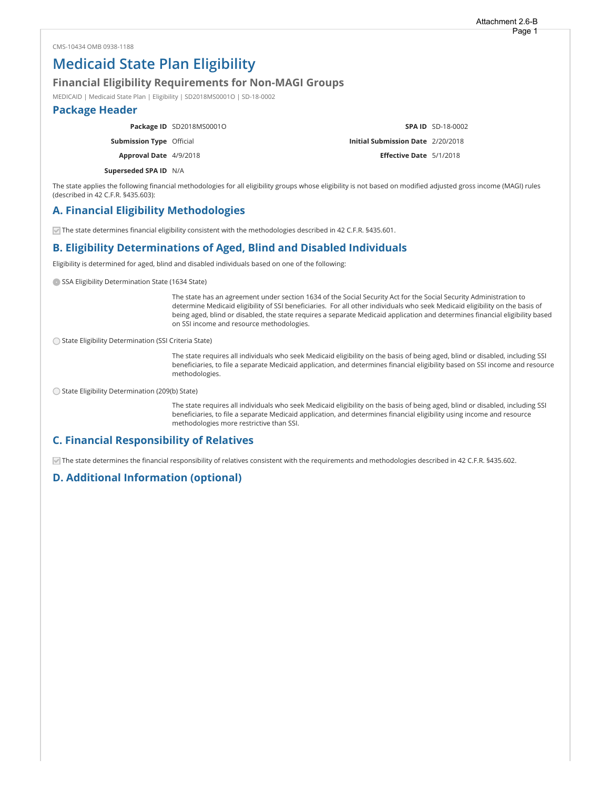# Medicaid State Plan Eligibility

#### Financial Eligibility Requirements for Non-MAGI Groups

MEDICAID | Medicaid State Plan | Eligibility | SD2018MS0001O | SD-18-0002

### Package Header

|                                 | Package ID SD2018MS0001O |                                   | <b>SPA ID SD-18-0002</b> |
|---------------------------------|--------------------------|-----------------------------------|--------------------------|
| <b>Submission Type Official</b> |                          | Initial Submission Date 2/20/2018 |                          |
| Approval Date 4/9/2018          |                          | <b>Effective Date</b> 5/1/2018    |                          |
| Superseded SPA ID N/A           |                          |                                   |                          |

The state applies the following financial methodologies for all eligibility groups whose eligibility is not based on modified adjusted gross income (MAGI) rules (described in 42 C.F.R. §435.603):

## A. Financial Eligibility Methodologies

 $\vee$  The state determines financial eligibility consistent with the methodologies described in 42 C.F.R. §435.601.

# B. Eligibility Determinations of Aged, Blind and Disabled Individuals

Eligibility is determined for aged, blind and disabled individuals based on one of the following:

SSA Eligibility Determination State (1634 State)

The state has an agreement under section 1634 of the Social Security Act for the Social Security Administration to determine Medicaid eligibility of SSI beneficiaries. For all other individuals who seek Medicaid eligibility on the basis of being aged, blind or disabled, the state requires a separate Medicaid application and determines financial eligibility based on SSI income and resource methodologies.

State Eligibility Determination (SSI Criteria State)

The state requires all individuals who seek Medicaid eligibility on the basis of being aged, blind or disabled, including SSI beneficiaries, to file a separate Medicaid application, and determines financial eligibility based on SSI income and resource methodologies.

State Eligibility Determination (209(b) State)

The state requires all individuals who seek Medicaid eligibility on the basis of being aged, blind or disabled, including SSI beneficiaries, to file a separate Medicaid application, and determines financial eligibility using income and resource methodologies more restrictive than SSI.

# C. Financial Responsibility of Relatives

The state determines the financial responsibility of relatives consistent with the requirements and methodologies described in 42 C.F.R. §435.602.

#### D. Additional Information (optional)